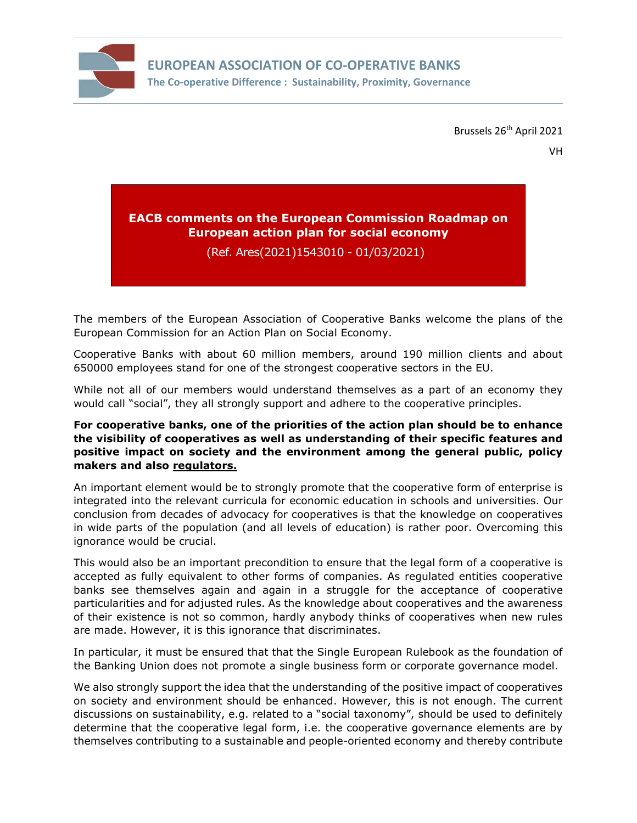

Brussels 26<sup>th</sup> April 2021

# **EACB comments on the European Commission Roadmap on European action plan for social economy**

(Ref. Ares(2021)1543010 - 01/03/2021)

The members of the European Association of Cooperative Banks welcome the plans of the European Commission for an Action Plan on Social Economy.

Cooperative Banks with about 60 million members, around 190 million clients and about 650000 employees stand for one of the strongest cooperative sectors in the EU.

While not all of our members would understand themselves as a part of an economy they would call "social", they all strongly support and adhere to the cooperative principles.

## **For cooperative banks, one of the priorities of the action plan should be to enhance the visibility of cooperatives as well as understanding of their specific features and positive impact on society and the environment among the general public, policy makers and also regulators.**

An important element would be to strongly promote that the cooperative form of enterprise is integrated into the relevant curricula for economic education in schools and universities. Our conclusion from decades of advocacy for cooperatives is that the knowledge on cooperatives in wide parts of the population (and all levels of education) is rather poor. Overcoming this ignorance would be crucial.

This would also be an important precondition to ensure that the legal form of a cooperative is accepted as fully equivalent to other forms of companies. As regulated entities cooperative banks see themselves again and again in a struggle for the acceptance of cooperative particularities and for adjusted rules. As the knowledge about cooperatives and the awareness of their existence is not so common, hardly anybody thinks of cooperatives when new rules are made. However, it is this ignorance that discriminates.

In particular, it must be ensured that that the Single European Rulebook as the foundation of the Banking Union does not promote a single business form or corporate governance model.

We also strongly support the idea that the understanding of the positive impact of cooperatives on society and environment should be enhanced. However, this is not enough. The current discussions on sustainability, e.g. related to a "social taxonomy", should be used to definitely determine that the cooperative legal form, i.e. the cooperative governance elements are by themselves contributing to a sustainable and people-oriented economy and thereby contribute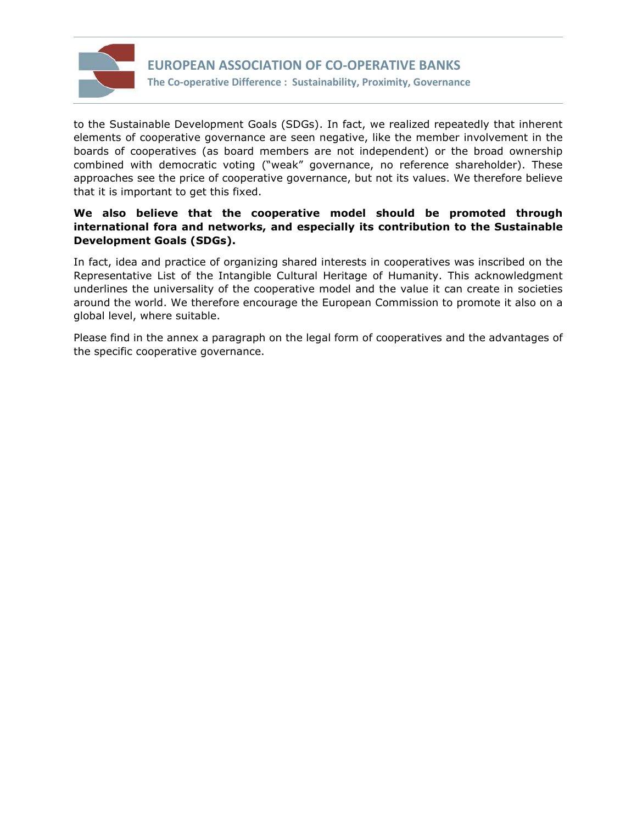

to the Sustainable Development Goals (SDGs). In fact, we realized repeatedly that inherent elements of cooperative governance are seen negative, like the member involvement in the boards of cooperatives (as board members are not independent) or the broad ownership combined with democratic voting ("weak" governance, no reference shareholder). These approaches see the price of cooperative governance, but not its values. We therefore believe that it is important to get this fixed.

## **We also believe that the cooperative model should be promoted through international fora and networks, and especially its contribution to the Sustainable Development Goals (SDGs).**

In fact, idea and practice of organizing shared interests in cooperatives was inscribed on the Representative List of the Intangible Cultural Heritage of Humanity. This acknowledgment underlines the universality of the cooperative model and the value it can create in societies around the world. We therefore encourage the European Commission to promote it also on a global level, where suitable.

Please find in the annex a paragraph on the legal form of cooperatives and the advantages of the specific cooperative governance.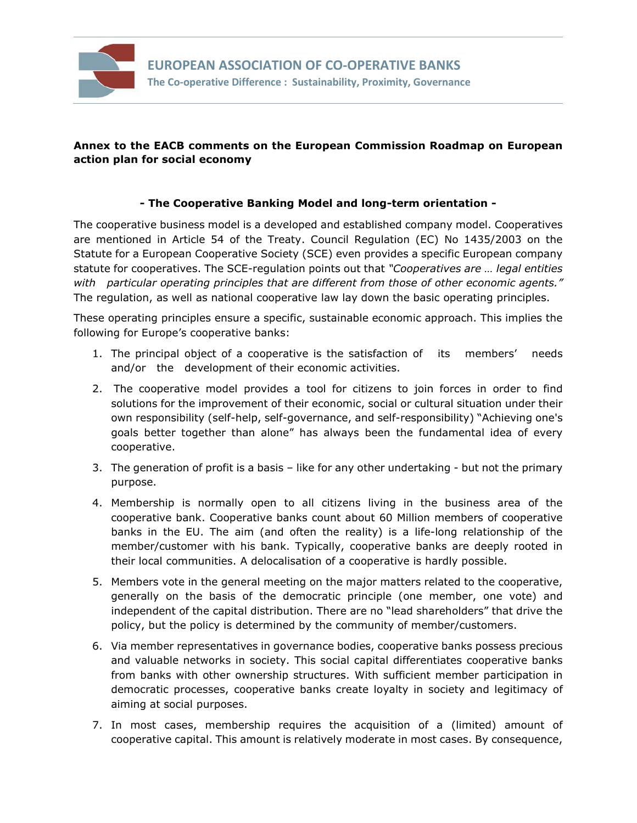

## **Annex to the EACB comments on the European Commission Roadmap on European action plan for social economy**

## **- The Cooperative Banking Model and long-term orientation -**

The cooperative business model is a developed and established company model. Cooperatives are mentioned in Article 54 of the Treaty. Council Regulation (EC) No 1435/2003 on the Statute for a European Cooperative Society (SCE) even provides a specific European company statute for cooperatives. The SCE-regulation points out that *"Cooperatives are … legal entities with particular operating principles that are different from those of other economic agents."* The regulation, as well as national cooperative law lay down the basic operating principles.

These operating principles ensure a specific, sustainable economic approach. This implies the following for Europe's cooperative banks:

- 1. The principal object of a cooperative is the satisfaction of its members' needs and/or the development of their economic activities.
- 2. The cooperative model provides a tool for citizens to join forces in order to find solutions for the improvement of their economic, social or cultural situation under their own responsibility (self-help, self-governance, and self-responsibility) "Achieving one's goals better together than alone" has always been the fundamental idea of every cooperative.
- 3. The generation of profit is a basis like for any other undertaking but not the primary purpose.
- 4. Membership is normally open to all citizens living in the business area of the cooperative bank. Cooperative banks count about 60 Million members of cooperative banks in the EU. The aim (and often the reality) is a life-long relationship of the member/customer with his bank. Typically, cooperative banks are deeply rooted in their local communities. A delocalisation of a cooperative is hardly possible.
- 5. Members vote in the general meeting on the major matters related to the cooperative, generally on the basis of the democratic principle (one member, one vote) and independent of the capital distribution. There are no "lead shareholders" that drive the policy, but the policy is determined by the community of member/customers.
- 6. Via member representatives in governance bodies, cooperative banks possess precious and valuable networks in society. This social capital differentiates cooperative banks from banks with other ownership structures. With sufficient member participation in democratic processes, cooperative banks create loyalty in society and legitimacy of aiming at social purposes.
- 7. In most cases, membership requires the acquisition of a (limited) amount of cooperative capital. This amount is relatively moderate in most cases. By consequence,